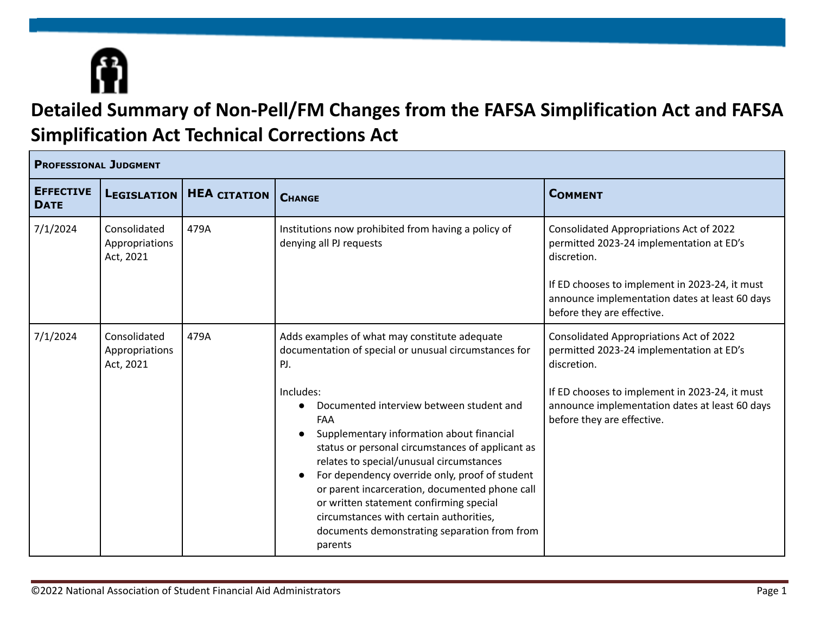

## **Detailed Summary of Non-Pell/FM Changes from the FAFSA Simplification Act and FAFSA Simplification Act Technical Corrections Act**

| <b>PROFESSIONAL JUDGMENT</b>    |                                             |                     |                                                                                                                                                                                                                                                                                                                                                                                                                                                                                                                                                                                              |                                                                                                                                                                                                                                      |  |
|---------------------------------|---------------------------------------------|---------------------|----------------------------------------------------------------------------------------------------------------------------------------------------------------------------------------------------------------------------------------------------------------------------------------------------------------------------------------------------------------------------------------------------------------------------------------------------------------------------------------------------------------------------------------------------------------------------------------------|--------------------------------------------------------------------------------------------------------------------------------------------------------------------------------------------------------------------------------------|--|
| <b>EFFECTIVE</b><br><b>DATE</b> | <b>LEGISLATION</b>                          | <b>HEA CITATION</b> | <b>CHANGE</b>                                                                                                                                                                                                                                                                                                                                                                                                                                                                                                                                                                                | <b>COMMENT</b>                                                                                                                                                                                                                       |  |
| 7/1/2024                        | Consolidated<br>Appropriations<br>Act, 2021 | 479A                | Institutions now prohibited from having a policy of<br>denying all PJ requests                                                                                                                                                                                                                                                                                                                                                                                                                                                                                                               | Consolidated Appropriations Act of 2022<br>permitted 2023-24 implementation at ED's<br>discretion.<br>If ED chooses to implement in 2023-24, it must<br>announce implementation dates at least 60 days<br>before they are effective. |  |
| 7/1/2024                        | Consolidated<br>Appropriations<br>Act, 2021 | 479A                | Adds examples of what may constitute adequate<br>documentation of special or unusual circumstances for<br>PJ.<br>Includes:<br>Documented interview between student and<br>$\bullet$<br>FAA<br>Supplementary information about financial<br>status or personal circumstances of applicant as<br>relates to special/unusual circumstances<br>For dependency override only, proof of student<br>or parent incarceration, documented phone call<br>or written statement confirming special<br>circumstances with certain authorities,<br>documents demonstrating separation from from<br>parents | Consolidated Appropriations Act of 2022<br>permitted 2023-24 implementation at ED's<br>discretion.<br>If ED chooses to implement in 2023-24, it must<br>announce implementation dates at least 60 days<br>before they are effective. |  |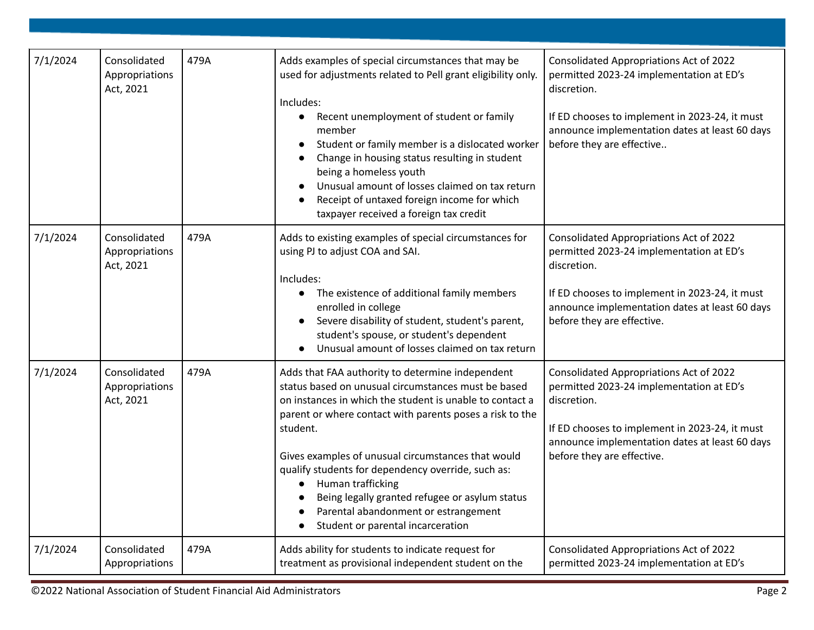| 7/1/2024 | Consolidated<br>Appropriations<br>Act, 2021 | 479A | Adds examples of special circumstances that may be<br>used for adjustments related to Pell grant eligibility only.<br>Includes:<br>Recent unemployment of student or family<br>$\bullet$<br>member<br>Student or family member is a dislocated worker<br>Change in housing status resulting in student<br>being a homeless youth<br>Unusual amount of losses claimed on tax return<br>Receipt of untaxed foreign income for which<br>taxpayer received a foreign tax credit                                              | <b>Consolidated Appropriations Act of 2022</b><br>permitted 2023-24 implementation at ED's<br>discretion.<br>If ED chooses to implement in 2023-24, it must<br>announce implementation dates at least 60 days<br>before they are effective  |
|----------|---------------------------------------------|------|--------------------------------------------------------------------------------------------------------------------------------------------------------------------------------------------------------------------------------------------------------------------------------------------------------------------------------------------------------------------------------------------------------------------------------------------------------------------------------------------------------------------------|---------------------------------------------------------------------------------------------------------------------------------------------------------------------------------------------------------------------------------------------|
| 7/1/2024 | Consolidated<br>Appropriations<br>Act, 2021 | 479A | Adds to existing examples of special circumstances for<br>using PJ to adjust COA and SAI.<br>Includes:<br>The existence of additional family members<br>$\bullet$<br>enrolled in college<br>Severe disability of student, student's parent,<br>$\bullet$<br>student's spouse, or student's dependent<br>Unusual amount of losses claimed on tax return                                                                                                                                                                   | <b>Consolidated Appropriations Act of 2022</b><br>permitted 2023-24 implementation at ED's<br>discretion.<br>If ED chooses to implement in 2023-24, it must<br>announce implementation dates at least 60 days<br>before they are effective. |
| 7/1/2024 | Consolidated<br>Appropriations<br>Act, 2021 | 479A | Adds that FAA authority to determine independent<br>status based on unusual circumstances must be based<br>on instances in which the student is unable to contact a<br>parent or where contact with parents poses a risk to the<br>student.<br>Gives examples of unusual circumstances that would<br>qualify students for dependency override, such as:<br>Human trafficking<br>Being legally granted refugee or asylum status<br>Parental abandonment or estrangement<br>Student or parental incarceration<br>$\bullet$ | Consolidated Appropriations Act of 2022<br>permitted 2023-24 implementation at ED's<br>discretion.<br>If ED chooses to implement in 2023-24, it must<br>announce implementation dates at least 60 days<br>before they are effective.        |
| 7/1/2024 | Consolidated<br>Appropriations              | 479A | Adds ability for students to indicate request for<br>treatment as provisional independent student on the                                                                                                                                                                                                                                                                                                                                                                                                                 | Consolidated Appropriations Act of 2022<br>permitted 2023-24 implementation at ED's                                                                                                                                                         |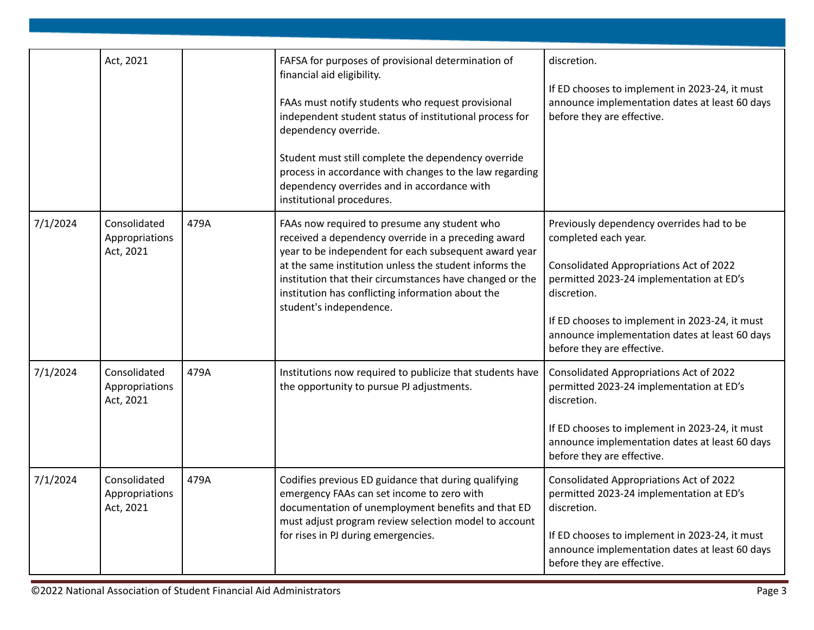|          | Act, 2021                                   |      | FAFSA for purposes of provisional determination of<br>financial aid eligibility.<br>FAAs must notify students who request provisional<br>independent student status of institutional process for<br>dependency override.<br>Student must still complete the dependency override<br>process in accordance with changes to the law regarding<br>dependency overrides and in accordance with<br>institutional procedures. | discretion.<br>If ED chooses to implement in 2023-24, it must<br>announce implementation dates at least 60 days<br>before they are effective.                                                                                                                                                             |
|----------|---------------------------------------------|------|------------------------------------------------------------------------------------------------------------------------------------------------------------------------------------------------------------------------------------------------------------------------------------------------------------------------------------------------------------------------------------------------------------------------|-----------------------------------------------------------------------------------------------------------------------------------------------------------------------------------------------------------------------------------------------------------------------------------------------------------|
| 7/1/2024 | Consolidated<br>Appropriations<br>Act, 2021 | 479A | FAAs now required to presume any student who<br>received a dependency override in a preceding award<br>year to be independent for each subsequent award year<br>at the same institution unless the student informs the<br>institution that their circumstances have changed or the<br>institution has conflicting information about the<br>student's independence.                                                     | Previously dependency overrides had to be<br>completed each year.<br>Consolidated Appropriations Act of 2022<br>permitted 2023-24 implementation at ED's<br>discretion.<br>If ED chooses to implement in 2023-24, it must<br>announce implementation dates at least 60 days<br>before they are effective. |
| 7/1/2024 | Consolidated<br>Appropriations<br>Act, 2021 | 479A | Institutions now required to publicize that students have<br>the opportunity to pursue PJ adjustments.                                                                                                                                                                                                                                                                                                                 | Consolidated Appropriations Act of 2022<br>permitted 2023-24 implementation at ED's<br>discretion.<br>If ED chooses to implement in 2023-24, it must<br>announce implementation dates at least 60 days<br>before they are effective.                                                                      |
| 7/1/2024 | Consolidated<br>Appropriations<br>Act, 2021 | 479A | Codifies previous ED guidance that during qualifying<br>emergency FAAs can set income to zero with<br>documentation of unemployment benefits and that ED<br>must adjust program review selection model to account<br>for rises in PJ during emergencies.                                                                                                                                                               | Consolidated Appropriations Act of 2022<br>permitted 2023-24 implementation at ED's<br>discretion.<br>If ED chooses to implement in 2023-24, it must<br>announce implementation dates at least 60 days<br>before they are effective.                                                                      |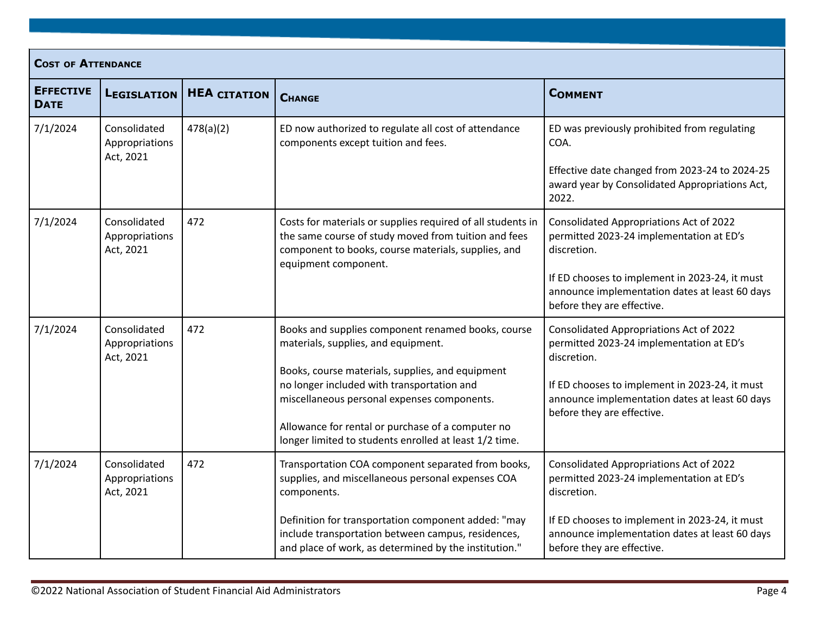|                                 | <b>COST OF ATTENDANCE</b>                   |                     |                                                                                                                                                                                                                                                                                                                                                           |                                                                                                                                                                                                                                      |  |  |
|---------------------------------|---------------------------------------------|---------------------|-----------------------------------------------------------------------------------------------------------------------------------------------------------------------------------------------------------------------------------------------------------------------------------------------------------------------------------------------------------|--------------------------------------------------------------------------------------------------------------------------------------------------------------------------------------------------------------------------------------|--|--|
| <b>EFFECTIVE</b><br><b>DATE</b> | <b>LEGISLATION</b>                          | <b>HEA CITATION</b> | <b>CHANGE</b>                                                                                                                                                                                                                                                                                                                                             | <b>COMMENT</b>                                                                                                                                                                                                                       |  |  |
| 7/1/2024                        | Consolidated<br>Appropriations<br>Act, 2021 | 478(a)(2)           | ED now authorized to regulate all cost of attendance<br>components except tuition and fees.                                                                                                                                                                                                                                                               | ED was previously prohibited from regulating<br>COA.<br>Effective date changed from 2023-24 to 2024-25<br>award year by Consolidated Appropriations Act,<br>2022.                                                                    |  |  |
| 7/1/2024                        | Consolidated<br>Appropriations<br>Act, 2021 | 472                 | Costs for materials or supplies required of all students in<br>the same course of study moved from tuition and fees<br>component to books, course materials, supplies, and<br>equipment component.                                                                                                                                                        | Consolidated Appropriations Act of 2022<br>permitted 2023-24 implementation at ED's<br>discretion.<br>If ED chooses to implement in 2023-24, it must<br>announce implementation dates at least 60 days<br>before they are effective. |  |  |
| 7/1/2024                        | Consolidated<br>Appropriations<br>Act, 2021 | 472                 | Books and supplies component renamed books, course<br>materials, supplies, and equipment.<br>Books, course materials, supplies, and equipment<br>no longer included with transportation and<br>miscellaneous personal expenses components.<br>Allowance for rental or purchase of a computer no<br>longer limited to students enrolled at least 1/2 time. | Consolidated Appropriations Act of 2022<br>permitted 2023-24 implementation at ED's<br>discretion.<br>If ED chooses to implement in 2023-24, it must<br>announce implementation dates at least 60 days<br>before they are effective. |  |  |
| 7/1/2024                        | Consolidated<br>Appropriations<br>Act, 2021 | 472                 | Transportation COA component separated from books,<br>supplies, and miscellaneous personal expenses COA<br>components.<br>Definition for transportation component added: "may<br>include transportation between campus, residences,<br>and place of work, as determined by the institution."                                                              | Consolidated Appropriations Act of 2022<br>permitted 2023-24 implementation at ED's<br>discretion.<br>If ED chooses to implement in 2023-24, it must<br>announce implementation dates at least 60 days<br>before they are effective. |  |  |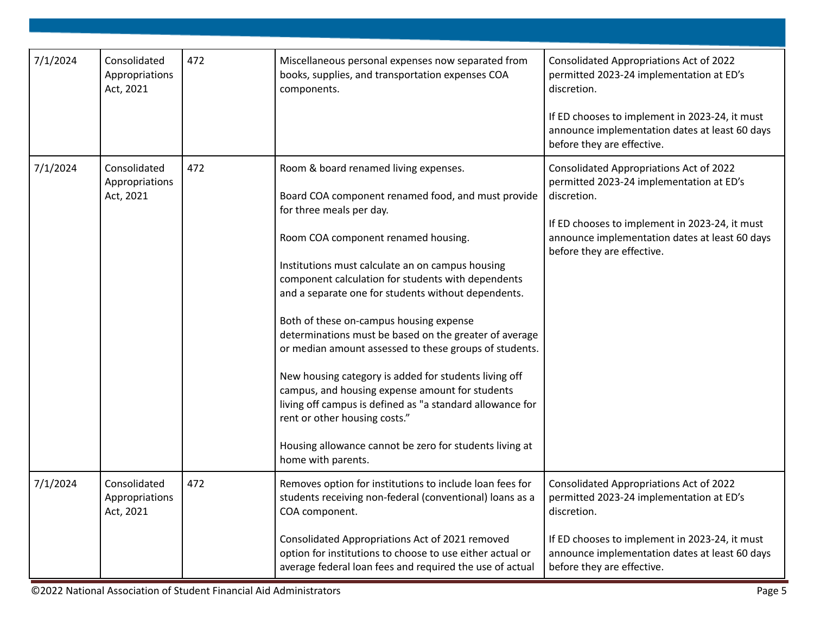| 7/1/2024 | Consolidated<br>Appropriations<br>Act, 2021 | 472 | Miscellaneous personal expenses now separated from<br>books, supplies, and transportation expenses COA<br>components.                                                                                                                                                                                                                                                                                                                                                                                                                                                                                                                                                                                                                                                                     | Consolidated Appropriations Act of 2022<br>permitted 2023-24 implementation at ED's<br>discretion.<br>If ED chooses to implement in 2023-24, it must<br>announce implementation dates at least 60 days<br>before they are effective. |
|----------|---------------------------------------------|-----|-------------------------------------------------------------------------------------------------------------------------------------------------------------------------------------------------------------------------------------------------------------------------------------------------------------------------------------------------------------------------------------------------------------------------------------------------------------------------------------------------------------------------------------------------------------------------------------------------------------------------------------------------------------------------------------------------------------------------------------------------------------------------------------------|--------------------------------------------------------------------------------------------------------------------------------------------------------------------------------------------------------------------------------------|
| 7/1/2024 | Consolidated<br>Appropriations<br>Act, 2021 | 472 | Room & board renamed living expenses.<br>Board COA component renamed food, and must provide<br>for three meals per day.<br>Room COA component renamed housing.<br>Institutions must calculate an on campus housing<br>component calculation for students with dependents<br>and a separate one for students without dependents.<br>Both of these on-campus housing expense<br>determinations must be based on the greater of average<br>or median amount assessed to these groups of students.<br>New housing category is added for students living off<br>campus, and housing expense amount for students<br>living off campus is defined as "a standard allowance for<br>rent or other housing costs."<br>Housing allowance cannot be zero for students living at<br>home with parents. | Consolidated Appropriations Act of 2022<br>permitted 2023-24 implementation at ED's<br>discretion.<br>If ED chooses to implement in 2023-24, it must<br>announce implementation dates at least 60 days<br>before they are effective. |
| 7/1/2024 | Consolidated<br>Appropriations<br>Act, 2021 | 472 | Removes option for institutions to include loan fees for<br>students receiving non-federal (conventional) loans as a<br>COA component.<br>Consolidated Appropriations Act of 2021 removed<br>option for institutions to choose to use either actual or<br>average federal loan fees and required the use of actual                                                                                                                                                                                                                                                                                                                                                                                                                                                                        | Consolidated Appropriations Act of 2022<br>permitted 2023-24 implementation at ED's<br>discretion.<br>If ED chooses to implement in 2023-24, it must<br>announce implementation dates at least 60 days<br>before they are effective. |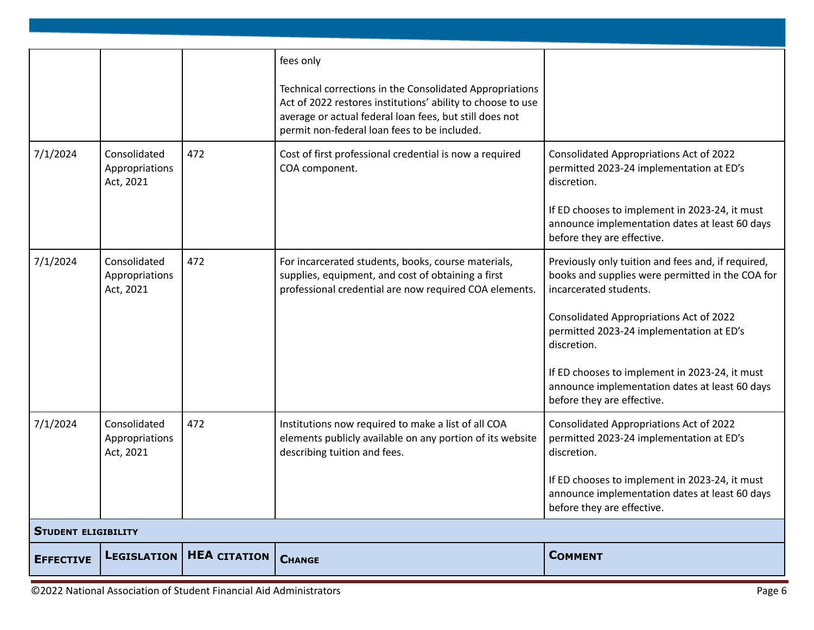|                  |                                             |                     | fees only<br>Technical corrections in the Consolidated Appropriations<br>Act of 2022 restores institutions' ability to choose to use<br>average or actual federal loan fees, but still does not<br>permit non-federal loan fees to be included. |                                                                                                                                                                                                                                                                                                                                                                          |  |
|------------------|---------------------------------------------|---------------------|-------------------------------------------------------------------------------------------------------------------------------------------------------------------------------------------------------------------------------------------------|--------------------------------------------------------------------------------------------------------------------------------------------------------------------------------------------------------------------------------------------------------------------------------------------------------------------------------------------------------------------------|--|
| 7/1/2024         | Consolidated<br>Appropriations<br>Act, 2021 | 472                 | Cost of first professional credential is now a required<br>COA component.                                                                                                                                                                       | <b>Consolidated Appropriations Act of 2022</b><br>permitted 2023-24 implementation at ED's<br>discretion.<br>If ED chooses to implement in 2023-24, it must<br>announce implementation dates at least 60 days<br>before they are effective.                                                                                                                              |  |
| 7/1/2024         | Consolidated<br>Appropriations<br>Act, 2021 | 472                 | For incarcerated students, books, course materials,<br>supplies, equipment, and cost of obtaining a first<br>professional credential are now required COA elements.                                                                             | Previously only tuition and fees and, if required,<br>books and supplies were permitted in the COA for<br>incarcerated students.<br>Consolidated Appropriations Act of 2022<br>permitted 2023-24 implementation at ED's<br>discretion.<br>If ED chooses to implement in 2023-24, it must<br>announce implementation dates at least 60 days<br>before they are effective. |  |
| 7/1/2024         | Consolidated<br>Appropriations<br>Act, 2021 | 472                 | Institutions now required to make a list of all COA<br>elements publicly available on any portion of its website<br>describing tuition and fees.                                                                                                | Consolidated Appropriations Act of 2022<br>permitted 2023-24 implementation at ED's<br>discretion.<br>If ED chooses to implement in 2023-24, it must<br>announce implementation dates at least 60 days<br>before they are effective.                                                                                                                                     |  |
|                  | <b>STUDENT ELIGIBILITY</b>                  |                     |                                                                                                                                                                                                                                                 |                                                                                                                                                                                                                                                                                                                                                                          |  |
| <b>EFFECTIVE</b> | LEGISLATION                                 | <b>HEA CITATION</b> | <b>CHANGE</b>                                                                                                                                                                                                                                   | <b>COMMENT</b>                                                                                                                                                                                                                                                                                                                                                           |  |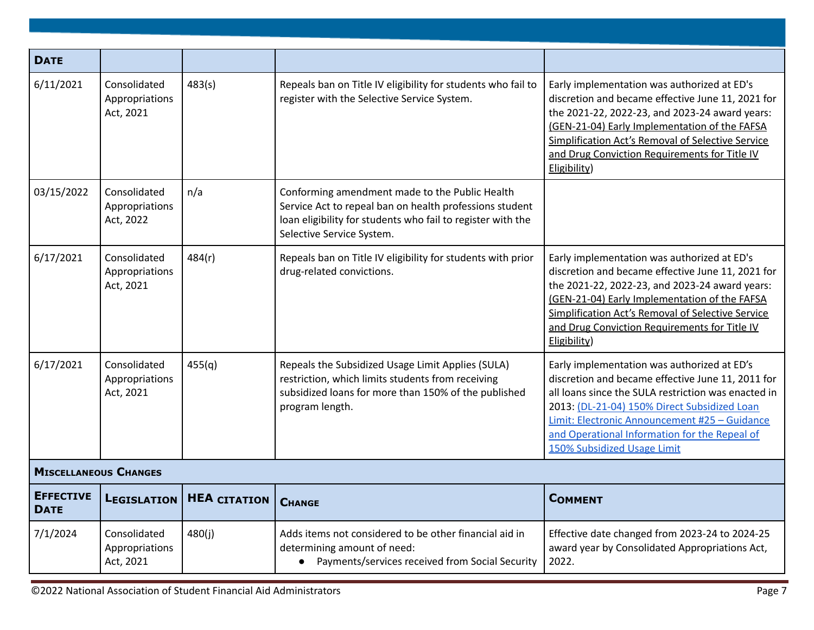| <b>DATE</b>                     |                                             |                     |                                                                                                                                                                                                       |                                                                                                                                                                                                                                                                                                                                          |  |  |
|---------------------------------|---------------------------------------------|---------------------|-------------------------------------------------------------------------------------------------------------------------------------------------------------------------------------------------------|------------------------------------------------------------------------------------------------------------------------------------------------------------------------------------------------------------------------------------------------------------------------------------------------------------------------------------------|--|--|
| 6/11/2021                       | Consolidated<br>Appropriations<br>Act, 2021 | 483(s)              | Repeals ban on Title IV eligibility for students who fail to<br>register with the Selective Service System.                                                                                           | Early implementation was authorized at ED's<br>discretion and became effective June 11, 2021 for<br>the 2021-22, 2022-23, and 2023-24 award years:<br>(GEN-21-04) Early Implementation of the FAFSA<br>Simplification Act's Removal of Selective Service<br>and Drug Conviction Requirements for Title IV<br>Eligibility)                |  |  |
| 03/15/2022                      | Consolidated<br>Appropriations<br>Act, 2022 | n/a                 | Conforming amendment made to the Public Health<br>Service Act to repeal ban on health professions student<br>loan eligibility for students who fail to register with the<br>Selective Service System. |                                                                                                                                                                                                                                                                                                                                          |  |  |
| 6/17/2021                       | Consolidated<br>Appropriations<br>Act, 2021 | 484(r)              | Repeals ban on Title IV eligibility for students with prior<br>drug-related convictions.                                                                                                              | Early implementation was authorized at ED's<br>discretion and became effective June 11, 2021 for<br>the 2021-22, 2022-23, and 2023-24 award years:<br>(GEN-21-04) Early Implementation of the FAFSA<br><b>Simplification Act's Removal of Selective Service</b><br>and Drug Conviction Requirements for Title IV<br>Eligibility)         |  |  |
| 6/17/2021                       | Consolidated<br>Appropriations<br>Act, 2021 | 455(q)              | Repeals the Subsidized Usage Limit Applies (SULA)<br>restriction, which limits students from receiving<br>subsidized loans for more than 150% of the published<br>program length.                     | Early implementation was authorized at ED's<br>discretion and became effective June 11, 2011 for<br>all loans since the SULA restriction was enacted in<br>2013: (DL-21-04) 150% Direct Subsidized Loan<br>Limit: Electronic Announcement #25 - Guidance<br>and Operational Information for the Repeal of<br>150% Subsidized Usage Limit |  |  |
| <b>MISCELLANEOUS CHANGES</b>    |                                             |                     |                                                                                                                                                                                                       |                                                                                                                                                                                                                                                                                                                                          |  |  |
| <b>EFFECTIVE</b><br><b>DATE</b> | <b>LEGISLATION</b>                          | <b>HEA CITATION</b> | <b>CHANGE</b>                                                                                                                                                                                         | <b>COMMENT</b>                                                                                                                                                                                                                                                                                                                           |  |  |
| 7/1/2024                        | Consolidated<br>Appropriations<br>Act, 2021 | 480(j)              | Adds items not considered to be other financial aid in<br>determining amount of need:<br>• Payments/services received from Social Security                                                            | Effective date changed from 2023-24 to 2024-25<br>award year by Consolidated Appropriations Act,<br>2022.                                                                                                                                                                                                                                |  |  |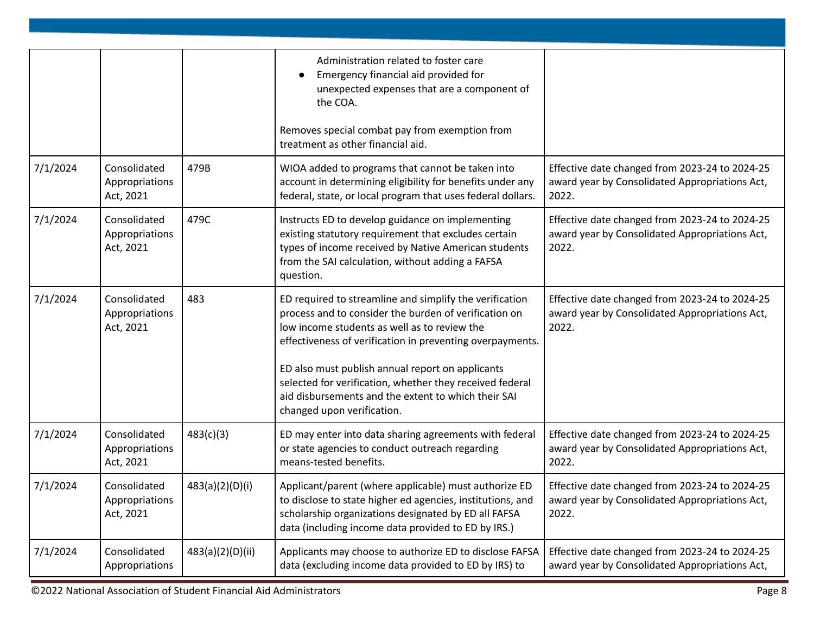|          |                                             |                  | Administration related to foster care<br>Emergency financial aid provided for<br>$\bullet$<br>unexpected expenses that are a component of<br>the COA.                                                                                                                                                                                                                                                                              |                                                                                                           |
|----------|---------------------------------------------|------------------|------------------------------------------------------------------------------------------------------------------------------------------------------------------------------------------------------------------------------------------------------------------------------------------------------------------------------------------------------------------------------------------------------------------------------------|-----------------------------------------------------------------------------------------------------------|
|          |                                             |                  | Removes special combat pay from exemption from<br>treatment as other financial aid.                                                                                                                                                                                                                                                                                                                                                |                                                                                                           |
| 7/1/2024 | Consolidated<br>Appropriations<br>Act, 2021 | 479B             | WIOA added to programs that cannot be taken into<br>account in determining eligibility for benefits under any<br>federal, state, or local program that uses federal dollars.                                                                                                                                                                                                                                                       | Effective date changed from 2023-24 to 2024-25<br>award year by Consolidated Appropriations Act,<br>2022. |
| 7/1/2024 | Consolidated<br>Appropriations<br>Act, 2021 | 479C             | Instructs ED to develop guidance on implementing<br>existing statutory requirement that excludes certain<br>types of income received by Native American students<br>from the SAI calculation, without adding a FAFSA<br>question.                                                                                                                                                                                                  | Effective date changed from 2023-24 to 2024-25<br>award year by Consolidated Appropriations Act,<br>2022. |
| 7/1/2024 | Consolidated<br>Appropriations<br>Act, 2021 | 483              | ED required to streamline and simplify the verification<br>process and to consider the burden of verification on<br>low income students as well as to review the<br>effectiveness of verification in preventing overpayments.<br>ED also must publish annual report on applicants<br>selected for verification, whether they received federal<br>aid disbursements and the extent to which their SAI<br>changed upon verification. | Effective date changed from 2023-24 to 2024-25<br>award year by Consolidated Appropriations Act,<br>2022. |
| 7/1/2024 | Consolidated<br>Appropriations<br>Act, 2021 | 483(c)(3)        | ED may enter into data sharing agreements with federal<br>or state agencies to conduct outreach regarding<br>means-tested benefits.                                                                                                                                                                                                                                                                                                | Effective date changed from 2023-24 to 2024-25<br>award year by Consolidated Appropriations Act,<br>2022. |
| 7/1/2024 | Consolidated<br>Appropriations<br>Act, 2021 | 483(a)(2)(D)(i)  | Applicant/parent (where applicable) must authorize ED<br>to disclose to state higher ed agencies, institutions, and<br>scholarship organizations designated by ED all FAFSA<br>data (including income data provided to ED by IRS.)                                                                                                                                                                                                 | Effective date changed from 2023-24 to 2024-25<br>award year by Consolidated Appropriations Act,<br>2022. |
| 7/1/2024 | Consolidated<br>Appropriations              | 483(a)(2)(D)(ii) | Applicants may choose to authorize ED to disclose FAFSA<br>data (excluding income data provided to ED by IRS) to                                                                                                                                                                                                                                                                                                                   | Effective date changed from 2023-24 to 2024-25<br>award year by Consolidated Appropriations Act,          |